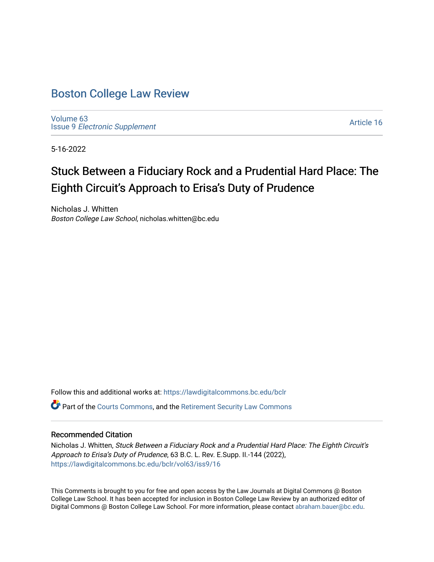## [Boston College Law Review](https://lawdigitalcommons.bc.edu/bclr)

[Volume 63](https://lawdigitalcommons.bc.edu/bclr/vol63) Issue 9 [Electronic Supplement](https://lawdigitalcommons.bc.edu/bclr/vol63/iss9) 

[Article 16](https://lawdigitalcommons.bc.edu/bclr/vol63/iss9/16) 

5-16-2022

# Stuck Between a Fiduciary Rock and a Prudential Hard Place: The Eighth Circuit's Approach to Erisa's Duty of Prudence

Nicholas J. Whitten Boston College Law School, nicholas.whitten@bc.edu

Follow this and additional works at: [https://lawdigitalcommons.bc.edu/bclr](https://lawdigitalcommons.bc.edu/bclr?utm_source=lawdigitalcommons.bc.edu%2Fbclr%2Fvol63%2Fiss9%2F16&utm_medium=PDF&utm_campaign=PDFCoverPages)  Part of the [Courts Commons,](https://network.bepress.com/hgg/discipline/839?utm_source=lawdigitalcommons.bc.edu%2Fbclr%2Fvol63%2Fiss9%2F16&utm_medium=PDF&utm_campaign=PDFCoverPages) and the [Retirement Security Law Commons](https://network.bepress.com/hgg/discipline/873?utm_source=lawdigitalcommons.bc.edu%2Fbclr%2Fvol63%2Fiss9%2F16&utm_medium=PDF&utm_campaign=PDFCoverPages) 

## Recommended Citation

Nicholas J. Whitten, Stuck Between a Fiduciary Rock and a Prudential Hard Place: The Eighth Circuit's Approach to Erisa's Duty of Prudence, 63 B.C. L. Rev. E.Supp. II.-144 (2022), [https://lawdigitalcommons.bc.edu/bclr/vol63/iss9/16](https://lawdigitalcommons.bc.edu/bclr/vol63/iss9/16?utm_source=lawdigitalcommons.bc.edu%2Fbclr%2Fvol63%2Fiss9%2F16&utm_medium=PDF&utm_campaign=PDFCoverPages)

This Comments is brought to you for free and open access by the Law Journals at Digital Commons @ Boston College Law School. It has been accepted for inclusion in Boston College Law Review by an authorized editor of Digital Commons @ Boston College Law School. For more information, please contact [abraham.bauer@bc.edu](mailto:abraham.bauer@bc.edu).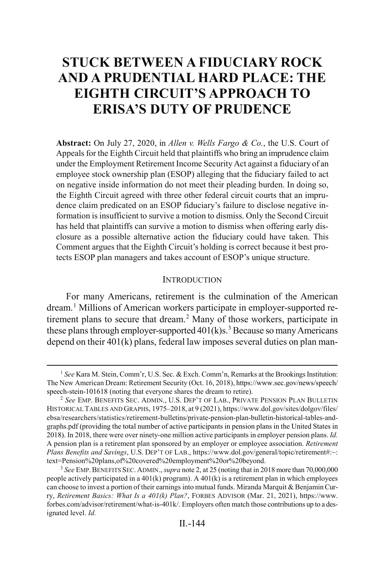## **STUCK BETWEEN A FIDUCIARY ROCK AND A PRUDENTIAL HARD PLACE: THE EIGHTH CIRCUIT'S APPROACH TO ERISA'S DUTY OF PRUDENCE**

**Abstract:** On July 27, 2020, in *Allen v. Wells Fargo & Co.*, the U.S. Court of Appeals for the Eighth Circuit held that plaintiffs who bring an imprudence claim under the Employment Retirement Income Security Act against a fiduciary of an employee stock ownership plan (ESOP) alleging that the fiduciary failed to act on negative inside information do not meet their pleading burden. In doing so, the Eighth Circuit agreed with three other federal circuit courts that an imprudence claim predicated on an ESOP fiduciary's failure to disclose negative information is insufficient to survive a motion to dismiss. Only the Second Circuit has held that plaintiffs can survive a motion to dismiss when offering early disclosure as a possible alternative action the fiduciary could have taken. This Comment argues that the Eighth Circuit's holding is correct because it best protects ESOP plan managers and takes account of ESOP's unique structure.

#### <span id="page-1-0"></span>**INTRODUCTION**

For many Americans, retirement is the culmination of the American dream.[1](#page-1-1) Millions of American workers participate in employer-supported re-tirement plans to secure that dream.<sup>[2](#page-1-2)</sup> Many of those workers, participate in these plans through employer-supported  $401(k)s<sup>3</sup>$  $401(k)s<sup>3</sup>$  $401(k)s<sup>3</sup>$  Because so many Americans depend on their 401(k) plans, federal law imposes several duties on plan man-

<span id="page-1-1"></span> <sup>1</sup> *See* Kara M. Stein, Comm'r, U.S. Sec. & Exch. Comm'n, Remarks at the Brookings Institution: The New American Dream: Retirement Security (Oct. 16, 2018), https://www.sec.gov/news/speech/ speech-stein-101618 (noting that everyone shares the dream to retire).

<span id="page-1-2"></span><sup>2</sup> *See* EMP. BENEFITS SEC. ADMIN., U.S. DEP'T OF LAB., PRIVATE PENSION PLAN BULLETIN HISTORICAL TABLES AND GRAPHS, 1975–2018, at 9 (2021), https://www.dol.gov/sites/dolgov/files/ ebsa/researchers/statistics/retirement-bulletins/private-pension-plan-bulletin-historical-tables-andgraphs.pdf (providing the total number of active participants in pension plans in the United States in 2018). In 2018, there were over ninety-one million active participants in employer pension plans. *Id.* A pension plan is a retirement plan sponsored by an employer or employee association. *Retirement Plans Benefits and Savings*, U.S. DEP'T OF LAB., https://www.dol.gov/general/topic/retirement#:~: text=Pension%20plans,of%20covered%20employment%20or%20beyond.

<span id="page-1-3"></span><sup>3</sup> *See* EMP.BENEFITS SEC. ADMIN., *supra* not[e 2,](#page-1-0) at 25 (noting that in 2018 more than 70,000,000 people actively participated in a  $401(k)$  program). A  $401(k)$  is a retirement plan in which employees can choose to invest a portion of their earnings into mutual funds. Miranda Marquit & Benjamin Curry, *Retirement Basics: What Is a 401(k) Plan?*, FORBES ADVISOR (Mar. 21, 2021), https://www. forbes.com/advisor/retirement/what-is-401k/. Employers often match those contributions up to a designated level. *Id.*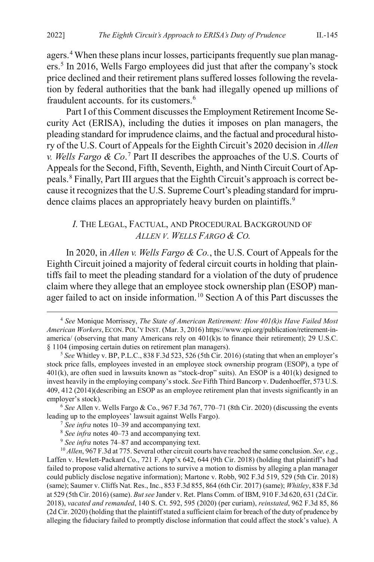agers.[4](#page-2-1) When these plans incur losses, participants frequently sue plan managers.[5](#page-2-2) In 2016, Wells Fargo employees did just that after the company's stock price declined and their retirement plans suffered losses following the revelation by federal authorities that the bank had illegally opened up millions of fraudulent accounts. for its customers.[6](#page-2-3)

Part I of this Comment discusses the Employment Retirement Income Security Act (ERISA), including the duties it imposes on plan managers, the pleading standard for imprudence claims, and the factual and procedural history of the U.S. Court of Appeals for the Eighth Circuit's 2020 decision in *Allen v. Wells Fargo & Co*. [7](#page-2-4) Part II describes the approaches of the U.S. Courts of Appeals for the Second, Fifth, Seventh, Eighth, and Ninth Circuit Court of Appeals.[8](#page-2-5) Finally, Part III argues that the Eighth Circuit's approach is correct because it recognizes that the U.S. Supreme Court's pleading standard for imprudence claims places an appropriately heavy burden on plaintiffs.<sup>9</sup>

#### <span id="page-2-0"></span>*I.* THE LEGAL, FACTUAL, AND PROCEDURAL BACKGROUND OF *ALLEN V. WELLS FARGO & CO.*

In 2020, in *Allen v. Wells Fargo & Co.*, the U.S. Court of Appeals for the Eighth Circuit joined a majority of federal circuit courts in holding that plaintiffs fail to meet the pleading standard for a violation of the duty of prudence claim where they allege that an employee stock ownership plan (ESOP) man-ager failed to act on inside information.<sup>[10](#page-2-7)</sup> Section A of this Part discusses the

<span id="page-2-1"></span> <sup>4</sup> *See* Monique Morrissey, *The State of American Retirement: How 401(k)s Have Failed Most American Workers*, ECON. POL'Y INST. (Mar. 3, 2016) https://www.epi.org/publication/retirement-inamerica/ (observing that many Americans rely on 401(k)s to finance their retirement); 29 U.S.C. § 1104 (imposing certain duties on retirement plan managers).

<span id="page-2-2"></span><sup>5</sup> *See* Whitley v. BP, P.L.C., 838 F.3d 523, 526 (5th Cir. 2016) (stating that when an employer's stock price falls, employees invested in an employee stock ownership program (ESOP), a type of  $401(k)$ , are often sued in lawsuits known as "stock-drop" suits). An ESOP is a  $401(k)$  designed to invest heavily in the employing company's stock. *See* Fifth Third Bancorp v. Dudenhoeffer, 573 U.S. 409, 412 (2014)(describing an ESOP as an employee retirement plan that invests significantly in an employer's stock).

<span id="page-2-4"></span><span id="page-2-3"></span><sup>6</sup> *See* Allen v. Wells Fargo & Co., 967 F.3d 767, 770–71 (8th Cir. 2020) (discussing the events leading up to the employees' lawsuit against Wells Fargo).

<sup>7</sup> *See infra* note[s 10](#page-2-0)[–39](#page-7-0) and accompanying text.

<sup>8</sup> *See infra* note[s 40](#page-8-0)[–73](#page-12-0) and accompanying text.

<sup>9</sup> *See infra* note[s 74](#page-13-0)[–87](#page-15-0) and accompanying text.

<span id="page-2-7"></span><span id="page-2-6"></span><span id="page-2-5"></span><sup>10</sup> *Allen*, 967 F.3d at 775. Several other circuit courts have reached the same conclusion. *See, e.g.*, Laffen v. Hewlett-Packard Co., 721 F. App'x 642, 644 (9th Cir. 2018) (holding that plaintiff's had failed to propose valid alternative actions to survive a motion to dismiss by alleging a plan manager could publicly disclose negative information); Martone v. Robb, 902 F.3d 519, 529 (5th Cir. 2018) (same); Saumer v. Cliffs Nat. Res., Inc., 853 F.3d 855, 864 (6th Cir. 2017) (same); *Whitley*, 838 F.3d at 529 (5th Cir. 2016) (same). *But see* Jander v. Ret. Plans Comm. of IBM, 910 F.3d 620, 631 (2d Cir. 2018), *vacated and remanded*, 140 S. Ct. 592, 595 (2020) (per curiam), *reinstated*, 962 F.3d 85, 86 (2d Cir. 2020) (holding that the plaintiff stated a sufficient claim for breach of the duty of prudence by alleging the fiduciary failed to promptly disclose information that could affect the stock's value). A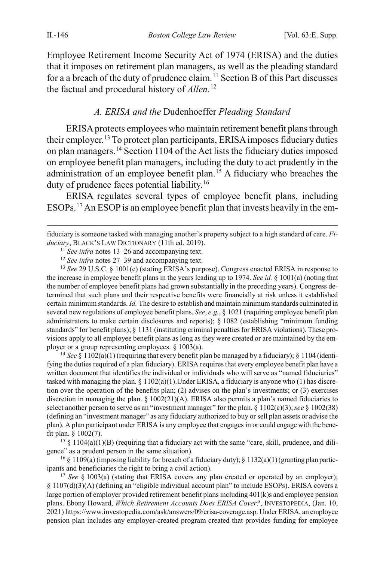Employee Retirement Income Security Act of 1974 (ERISA) and the duties that it imposes on retirement plan managers, as well as the pleading standard for a a breach of the duty of prudence claim.<sup>[11](#page-3-1)</sup> Section B of this Part discusses the factual and procedural history of *Allen*. [12](#page-3-2)

#### <span id="page-3-0"></span>*A. ERISA and the* Dudenhoeffer *Pleading Standard*

ERISA protects employees who maintain retirement benefit plans through their employer.[13](#page-3-3) To protect plan participants, ERISA imposes fiduciary duties on plan managers.[14](#page-3-4) Section 1104 of the Act lists the fiduciary duties imposed on employee benefit plan managers, including the duty to act prudently in the administration of an employee benefit plan.[15](#page-3-5) A fiduciary who breaches the duty of prudence faces potential liability.[16](#page-3-6)

ERISA regulates several types of employee benefit plans, including ESOPs.[17](#page-3-7) An ESOP is an employee benefit plan that invests heavily in the em-

<span id="page-3-3"></span><span id="page-3-2"></span><sup>13</sup> *See* 29 U.S.C. § 1001(c) (stating ERISA's purpose). Congress enacted ERISA in response to the increase in employee benefit plans in the years leading up to 1974. *See id.* § 1001(a) (noting that the number of employee benefit plans had grown substantially in the preceding years). Congress determined that such plans and their respective benefits were financially at risk unless it established certain minimum standards. *Id.* The desire to establish and maintain minimum standards culminated in several new regulations of employee benefit plans. *See*, *e.g.*, § 1021 (requiring employee benefit plan administrators to make certain disclosures and reports); § 1082 (establishing "minimum funding standards" for benefit plans); § 1131 (instituting criminal penalties for ERISA violations). These provisions apply to all employee benefit plans as long as they were created or are maintained by the employer or a group representing employees. § 1003(a).

<span id="page-3-4"></span><sup>14</sup> *See* § 1102(a)(1) (requiring that every benefit plan be managed by a fiduciary); § 1104 (identifying the duties required of a plan fiduciary). ERISA requires that every employee benefit plan have a written document that identifies the individual or individuals who will serve as "named fiduciaries" tasked with managing the plan.  $\S$  1102(a)(1). Under ERISA, a fiduciary is anyone who (1) has discretion over the operation of the benefits plan; (2) advises on the plan's investments; or (3) exercises discretion in managing the plan. § 1002(21)(A). ERISA also permits a plan's named fiduciaries to select another person to serve as an "investment manager" for the plan. § 1102(c)(3); *see* § 1002(38) (defining an "investment manager" as any fiduciary authorized to buy or sell plan assets or advise the plan). A plan participant under ERISA is any employee that engages in or could engage with the benefit plan. § 1002(7).

<span id="page-3-5"></span><sup>15</sup> § 1104(a)(1)(B) (requiring that a fiduciary act with the same "care, skill, prudence, and diligence" as a prudent person in the same situation).

<span id="page-3-6"></span><sup>16</sup> § 1109(a) (imposing liability for breach of a fiduciary duty); § 1132(a)(1) (granting plan participants and beneficiaries the right to bring a civil action).

<span id="page-3-7"></span><sup>17</sup> *See* § 1003(a) (stating that ERISA covers any plan created or operated by an employer); § 1107(d)(3)(A) (defining an "eligible individual account plan" to include ESOPs). ERISA covers a large portion of employer provided retirement benefit plans including 401(k)s and employee pension plans. Ebony Howard, *Which Retirement Accounts Does ERISA Cover?*, INVESTOPEDIA, (Jan. 10, 2021) https://www.investopedia.com/ask/answers/09/erisa-coverage.asp. Under ERISA, an employee pension plan includes any employer-created program created that provides funding for employee

<span id="page-3-1"></span>fiduciary is someone tasked with managing another's property subject to a high standard of care. *Fiduciary*, BLACK'S LAW DICTIONARY (11th ed. 2019).

<sup>11</sup> *See infra* notes [13–](#page-3-0)[26](#page-5-0) and accompanying text.

<sup>12</sup> *See infra* notes [27–](#page-6-0)[39](#page-7-0) and accompanying text.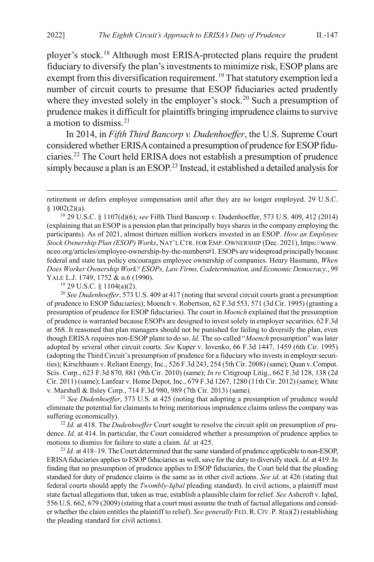<span id="page-4-7"></span>ployer's stock.[18](#page-4-0) Although most ERISA-protected plans require the prudent fiduciary to diversify the plan's investments to minimize risk, ESOP plans are exempt from this diversification requirement.<sup>[19](#page-4-1)</sup> That statutory exemption led a number of circuit courts to presume that ESOP fiduciaries acted prudently where they invested solely in the employer's stock.<sup>[20](#page-4-2)</sup> Such a presumption of prudence makes it difficult for plaintiffs bringing imprudence claims to survive a motion to dismiss.<sup>[21](#page-4-3)</sup>

In 2014, in *Fifth Third Bancorp v. Dudenhoeffer*, the U.S. Supreme Court considered whether ERISA contained a presumption of prudence for ESOP fiduciaries.[22](#page-4-4) The Court held ERISA does not establish a presumption of prudence simply because a plan is an ESOP.<sup>23</sup> Instead, it established a detailed analysis for

<span id="page-4-2"></span><span id="page-4-1"></span><sup>20</sup> *See Dudenhoeffer*, 573 U.S. 409 at 417 (noting that several circuit courts grant a presumption of prudence to ESOP fiduciaries); Moench v. Robertson, 62 F.3d 553, 571 (3d Cir. 1995) (granting a presumption of prudence for ESOP fiduciaries). The court in *Moench* explained that the presumption of prudence is warranted because ESOPs are designed to invest solely in employer securities. 62 F.3d at 568. It reasoned that plan managers should not be punished for failing to diversify the plan, even though ERISA requires non-ESOP plans to do so. *Id.* The so-called "*Moench* presumption" was later adopted by several other circuit courts. *See* Kuper v. Iovenko, 66 F.3d 1447, 1459 (6th Cir. 1995) (adopting the Third Circuit's presumption of prudence for a fiduciary who invests in employer securities); Kirschbaum v. Reliant Energy, Inc., 526 F.3d 243, 254 (5th Cir. 2008) (same); Quan v. Comput. Scis. Corp., 623 F.3d 870, 881 (9th Cir. 2010) (same); *In re* Citigroup Litig., 662 F.3d 128, 138 (2d Cir. 2011) (same); Lanfear v. Home Depot, Inc., 679 F.3d 1267, 1280 (11th Cir. 2012) (same); White v. Marshall & Ilsley Corp., 714 F.3d 980, 989 (7th Cir. 2013) (same).

<span id="page-4-3"></span><sup>21</sup> *See Dudenhoeffer*, 573 U.S. at 425 (noting that adopting a presumption of prudence would eliminate the potential for claimants to bring meritorious imprudence claims unless the company was suffering economically).

<span id="page-4-4"></span><sup>22</sup> *Id.* at 418. The *Dudenhoeffer* Court sought to resolve the circuit split on presumption of prudence. *Id.* at 414. In particular, the Court considered whether a presumption of prudence applies to motions to dismiss for failure to state a claim. *Id.* at 425.

<span id="page-4-5"></span><sup>23</sup> *Id.* at 418–19. The Court determined that the same standard of prudence applicable to non-ESOP, ERISA fiduciaries applies to ESOP fiduciaries as well, save for the duty to diversify stock. *Id.* at 419. In finding that no presumption of prudence applies to ESOP fiduciaries, the Court held that the pleading standard for duty of prudence claims is the same as in other civil actions. *See id.* at 426 (stating that federal courts should apply the *Twombly-Iqbal* pleading standard). In civil actions, a plaintiff must state factual allegations that, taken as true, establish a plausible claim for relief. *See* Ashcroft v. Iqbal, 556 U.S. 662, 679 (2009) (stating that a court must assume the truth of factual allegations and consider whether the claim entitles the plaintiff to relief). *See generally* FED.R.CIV. P. 8(a)(2) (establishing the pleading standard for civil actions).

<span id="page-4-6"></span>retirement or defers employee compensation until after they are no longer employed. 29 U.S.C.  $§ 1002(2)(a).$ 

<span id="page-4-0"></span><sup>18</sup> 29 U.S.C. § 1107(d)(6); *see* Fifth Third Bancorp v. Dudenhoeffer, 573 U.S. 409, 412 (2014) (explaining that an ESOP is a pension plan that principally buys shares in the company employing the participants). As of 2021, almost thirteen million workers invested in an ESOP. *How an Employee Stock Ownership Plan (ESOP) Works*, NAT'L CTR. FOR EMP. OWNERSHIP (Dec. 2021), https://www. nceo.org/articles/employee-ownership-by-the-numbers#1*.* ESOPs are widespread principally because federal and state tax policy encourages employee ownership of companies. Henry Hasmann, *When Does Worker Ownership Work? ESOPs, Law Firms, Codetermination, and Economic Democracy.*, 99 YALE L.J. 1749, 1752 & n.6 (1990).

 $19$  29 U.S.C. § 1104(a)(2).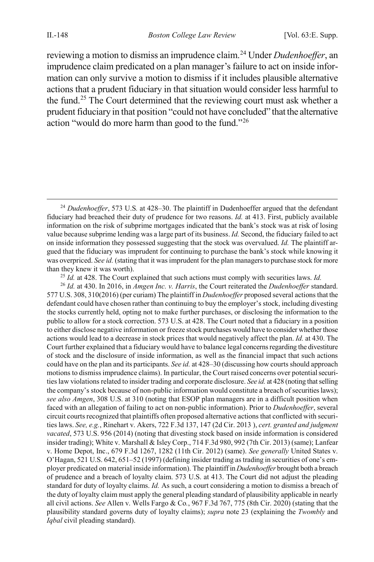<span id="page-5-0"></span>reviewing a motion to dismiss an imprudence claim.[24](#page-5-1) Under *Dudenhoeffer*, an imprudence claim predicated on a plan manager's failure to act on inside information can only survive a motion to dismiss if it includes plausible alternative actions that a prudent fiduciary in that situation would consider less harmful to the fund.[25](#page-5-2) The Court determined that the reviewing court must ask whether a prudent fiduciary in that position "could not have concluded" that the alternative action "would do more harm than good to the fund.["26](#page-5-3)

<sup>25</sup> *Id.* at 428. The Court explained that such actions must comply with securities laws. *Id.*

<span id="page-5-3"></span><span id="page-5-2"></span><sup>26</sup> *Id.* at 430. In 2016, in *Amgen Inc. v. Harris*, the Court reiterated the *Dudenhoeffer* standard. 577 U.S. 308, 310(2016) (per curiam) The plaintiff in *Dudenhoeffer* proposed several actions that the defendant could have chosen rather than continuing to buy the employer's stock, including divesting the stocks currently held, opting not to make further purchases, or disclosing the information to the public to allow for a stock correction. 573 U.S. at 428. The Court noted that a fiduciary in a position to either disclose negative information or freeze stock purchases would have to consider whether those actions would lead to a decrease in stock prices that would negatively affect the plan. *Id.* at 430. The Court further explained that a fiduciary would have to balance legal concerns regarding the divestiture of stock and the disclosure of inside information, as well as the financial impact that such actions could have on the plan and its participants. *See id.* at 428–30 (discussing how courts should approach motions to dismiss imprudence claims). In particular, the Court raised concerns over potential securities law violations related to insider trading and corporate disclosure. *See id.* at 428 (noting that selling the company's stock because of non-public information would constitute a breach of securities laws); *see also Amgen*, 308 U.S. at 310 (noting that ESOP plan managers are in a difficult position when faced with an allegation of failing to act on non-public information). Prior to *Dudenhoeffer*, several circuit courts recognized that plaintiffs often proposed alternative actions that conflicted with securities laws. *See, e.g.*, Rinehart v. Akers, 722 F.3d 137, 147 (2d Cir. 2013 ), *cert. granted and judgment vacated*, 573 U.S. 956 (2014) (noting that divesting stock based on inside information is considered insider trading); White v. Marshall & Isley Corp., 714 F.3d 980, 992 (7th Cir. 2013) (same); Lanfear v. Home Depot, Inc., 679 F.3d 1267, 1282 (11th Cir. 2012) (same). *See generally* United States v. O'Hagan, 521 U.S. 642, 651–52 (1997) (defining insider trading as trading in securities of one's employer predicated on material inside information). The plaintiff in *Dudenhoeffer* brought both a breach of prudence and a breach of loyalty claim. 573 U.S. at 413. The Court did not adjust the pleading standard for duty of loyalty claims. *Id.* As such, a court considering a motion to dismiss a breach of the duty of loyalty claim must apply the general pleading standard of plausibility applicable in nearly all civil actions. *See* Allen v. Wells Fargo & Co*.*, 967 F.3d 767, 775 (8th Cir. 2020) (stating that the plausibility standard governs duty of loyalty claims); *supra* not[e 23](#page-4-6) (explaining the *Twombly* and *Iqbal* civil pleading standard).

<span id="page-5-1"></span> <sup>24</sup> *Dudenhoeffer*, 573 U.S*.* at 428–30. The plaintiff in Dudenhoeffer argued that the defendant fiduciary had breached their duty of prudence for two reasons. *Id.* at 413. First, publicly available information on the risk of subprime mortgages indicated that the bank's stock was at risk of losing value because subprime lending was a large part of its business. *Id.* Second, the fiduciary failed to act on inside information they possessed suggesting that the stock was overvalued. *Id.* The plaintiff argued that the fiduciary was imprudent for continuing to purchase the bank's stock while knowing it was overpriced. *See id.* (stating that it was imprudent for the plan managers to purchase stock for more than they knew it was worth).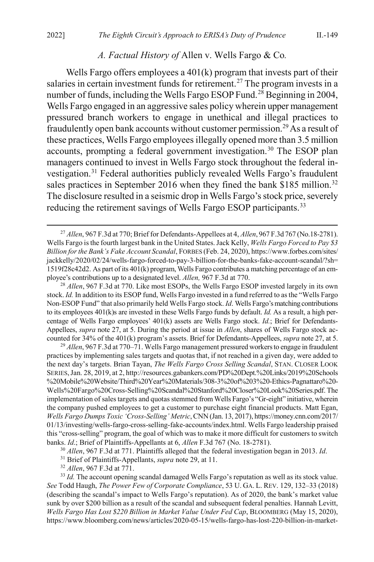#### <span id="page-6-1"></span><span id="page-6-0"></span>*A. Factual History of* Allen v. Wells Fargo & Co*.*

Wells Fargo offers employees a 401(k) program that invests part of their salaries in certain investment funds for retirement.<sup>27</sup> The program invests in a number of funds, including the Wells Fargo ESOP Fund.<sup>[28](#page-6-3)</sup> Beginning in 2004, Wells Fargo engaged in an aggressive sales policy wherein upper management pressured branch workers to engage in unethical and illegal practices to fraudulently open bank accounts without customer permission.<sup>29</sup> As a result of these practices, Wells Fargo employees illegally opened more than 3.5 million accounts, prompting a federal government investigation.[30](#page-6-5) The ESOP plan managers continued to invest in Wells Fargo stock throughout the federal investigation[.31](#page-6-6) Federal authorities publicly revealed Wells Fargo's fraudulent sales practices in September 2016 when they fined the bank \$185 million.<sup>[32](#page-6-7)</sup> The disclosure resulted in a seismic drop in Wells Fargo's stock price, severely reducing the retirement savings of Wells Fargo ESOP participants.<sup>33</sup>

<span id="page-6-3"></span><sup>28</sup> *Allen*, 967 F.3d at 770. Like most ESOPs, the Wells Fargo ESOP invested largely in its own stock. *Id.* In addition to its ESOP fund, Wells Fargo invested in a fund referred to as the "Wells Fargo Non-ESOP Fund" that also primarily held Wells Fargo stock. *Id*. Wells Fargo's matching contributions to its employees 401(k)s are invested in these Wells Fargo funds by default. *Id.* As a result, a high percentage of Wells Fargo employees' 401(k) assets are Wells Fargo stock. *Id.*; Brief for Defendants-Appellees, *supra* not[e 27,](#page-6-0) at 5. During the period at issue in *Allen*, shares of Wells Fargo stock accounted for 34% of the 401(k) program's assets. Brief for Defendants-Appellees, *supra* not[e 27,](#page-6-0) at 5.

<span id="page-6-4"></span><sup>29</sup> *Allen*, 967 F.3d at 770–71. Wells Fargo management pressured workers to engage in fraudulent practices by implementing sales targets and quotas that, if not reached in a given day, were added to the next day's targets. Brian Tayan, *The Wells Fargo Cross Selling Scandal*, STAN. CLOSER LOOK SERIES,Jan. 28, 2019, at 2, http://resources.gabankers.com/PD%20Dept.%20Links/2019%20Schools %20Mobile%20Website/Third%20Year%20Materials/308-3%20of%203%20-Ethics-Pagnattaro%20- Wells%20Fargo%20Cross-Selling%20Scandal%20Stanford%20Closer%20Look%20Series.pdf. The implementation of sales targets and quotas stemmed from Wells Fargo's "Gr-eight" initiative, wherein the company pushed employees to get a customer to purchase eight financial products. Matt Egan, *Wells Fargo Dumps Toxic 'Cross-Selling' Metric*, CNN (Jan. 13, 2017), https://money.cnn.com/2017/ 01/13/investing/wells-fargo-cross-selling-fake-accounts/index.html. Wells Fargo leadership praised this "cross-selling" program, the goal of which was to make it more difficult for customers to switch banks. *Id*.; Brief of Plaintiffs-Appellants at 6, *Allen* F.3d 767 (No. 18-2781).

<sup>30</sup> *Allen*, 967 F.3d at 771. Plaintiffs alleged that the federal investigation began in 2013. *Id*.

<sup>31</sup> Brief of Plaintiffs-Appellants, *supra* not[e 29,](#page-6-1) at 11.

<sup>32</sup> *Allen*, 967 F.3d at 771.

<span id="page-6-8"></span><span id="page-6-7"></span><span id="page-6-6"></span><span id="page-6-5"></span><sup>33</sup> *Id.* The account opening scandal damaged Wells Fargo's reputation as well as its stock value. *See* Todd Haugh, *The Power Few of Corporate Compliance*, 53 U. GA. L. REV. 129, 132–33 (2018) (describing the scandal's impact to Wells Fargo's reputation). As of 2020, the bank's market value sunk by over \$200 billion as a result of the scandal and subsequent federal penalties. Hannah Levitt, *Wells Fargo Has Lost \$220 Billion in Market Value Under Fed Cap*, BLOOMBERG (May 15, 2020), https://www.bloomberg.com/news/articles/2020-05-15/wells-fargo-has-lost-220-billion-in-market-

<span id="page-6-2"></span> <sup>27</sup> *Allen*, 967 F.3d at 770; Brief for Defendants-Appellees at 4, *Allen*, 967 F.3d 767 (No.18-2781). Wells Fargo is the fourth largest bank in the United States. Jack Kelly, *Wells Fargo Forced to Pay \$3 Billion for the Bank's Fake Account Scandal*, FORBES (Feb. 24, 2020), https://www.forbes.com/sites/ jackkelly/2020/02/24/wells-fargo-forced-to-pay-3-billion-for-the-banks-fake-account-scandal/?sh= 1519f28c42d2. As part of its 401(k) program, Wells Fargo contributes a matching percentage of an employee's contributions up to a designated level. *Allen,* 967 F.3d at 770.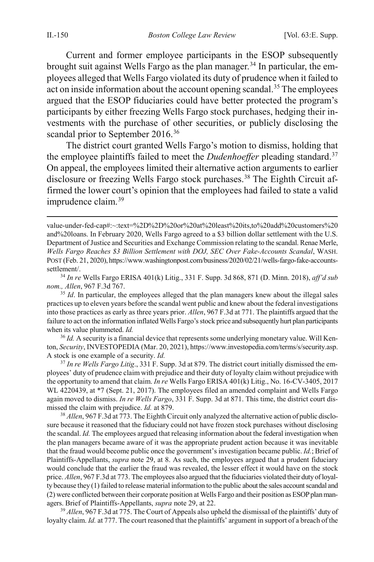Current and former employee participants in the ESOP subsequently brought suit against Wells Fargo as the plan manager.<sup>[34](#page-7-1)</sup> In particular, the employees alleged that Wells Fargo violated its duty of prudence when it failed to act on inside information about the account opening scandal.<sup>[35](#page-7-2)</sup> The employees argued that the ESOP fiduciaries could have better protected the program's participants by either freezing Wells Fargo stock purchases, hedging their investments with the purchase of other securities, or publicly disclosing the scandal prior to September 2016.<sup>[36](#page-7-3)</sup>

The district court granted Wells Fargo's motion to dismiss, holding that the employee plaintiffs failed to meet the *Dudenhoeffer* pleading standard.<sup>[37](#page-7-4)</sup> On appeal, the employees limited their alternative action arguments to earlier disclosure or freezing Wells Fargo stock purchases.<sup>[38](#page-7-5)</sup> The Eighth Circuit affirmed the lower court's opinion that the employees had failed to state a valid imprudence claim.<sup>[39](#page-7-6)</sup>

<span id="page-7-1"></span><sup>34</sup> *In re* Wells Fargo ERISA 401(k) Litig., 331 F. Supp. 3d 868, 871 (D. Minn. 2018), *aff'd sub nom., Allen*, 967 F.3d 767.

<span id="page-7-2"></span><sup>35</sup> *Id*. In particular, the employees alleged that the plan managers knew about the illegal sales practices up to eleven years before the scandal went public and knew about the federal investigations into those practices as early as three years prior. *Allen*, 967 F.3d at 771. The plaintiffs argued that the failure to act on the information inflated Wells Fargo's stock price and subsequently hurt plan participants when its value plummeted. *Id.*

<span id="page-7-3"></span><sup>36</sup> *Id.* A security is a financial device that represents some underlying monetary value. Will Kenton, *Security*, INVESTOPEDIA (Mar. 20, 2021), https://www.investopedia.com/terms/s/security.asp. A stock is one example of a security. *Id.*

<span id="page-7-4"></span><sup>37</sup> *In re Wells Fargo Litig*., 331 F. Supp. 3d at 879. The district court initially dismissed the employees' duty of prudence claim with prejudice and their duty of loyalty claim without prejudice with the opportunity to amend that claim. *In re* Wells Fargo ERISA 401(k) Litig., No. 16-CV-3405, 2017 WL 4220439, at \*7 (Sept. 21, 2017). The employees filed an amended complaint and Wells Fargo again moved to dismiss. *In re Wells Fargo*, 331 F. Supp. 3d at 871. This time, the district court dismissed the claim with prejudice. *Id.* at 879.

<span id="page-7-5"></span><sup>38</sup> *Allen*, 967 F.3d at 773. The Eighth Circuit only analyzed the alternative action of public disclosure because it reasoned that the fiduciary could not have frozen stock purchases without disclosing the scandal. *Id.* The employees argued that releasing information about the federal investigation when the plan managers became aware of it was the appropriate prudent action because it was inevitable that the fraud would become public once the government's investigation became public. *Id.*; Brief of Plaintiffs-Appellants, *supra* note [29,](#page-6-1) at 8. As such, the employees argued that a prudent fiduciary would conclude that the earlier the fraud was revealed, the lesser effect it would have on the stock price. *Allen*, 967 F.3d at 773. The employees also argued that the fiduciaries violated their duty of loyalty because they (1) failed to release material information to the public about the sales account scandal and (2) were conflicted between their corporate position at Wells Fargo and their position as ESOP plan managers. Brief of Plaintiffs-Appellants, *supra* not[e 29,](#page-6-1) at 22.

<span id="page-7-6"></span><sup>39</sup> *Allen*, 967 F.3d at 775. The Court of Appeals also upheld the dismissal of the plaintiffs' duty of loyalty claim. *Id.* at 777. The court reasoned that the plaintiffs' argument in support of a breach of the

<span id="page-7-0"></span>value-under-fed-cap#:~:text=%2D%2D%20or%20at%20least%20its,to%20add%20customers%20 and%20loans. In February 2020, Wells Fargo agreed to a \$3 billion dollar settlement with the U.S. Department of Justice and Securities and Exchange Commission relating to the scandal. Renae Merle, *Wells Fargo Reaches \$3 Billion Settlement with DOJ, SEC Over Fake-Accounts Scandal*, WASH. POST (Feb. 21, 2020), https://www.washingtonpost.com/business/2020/02/21/wells-fargo-fake-accountssettlement/.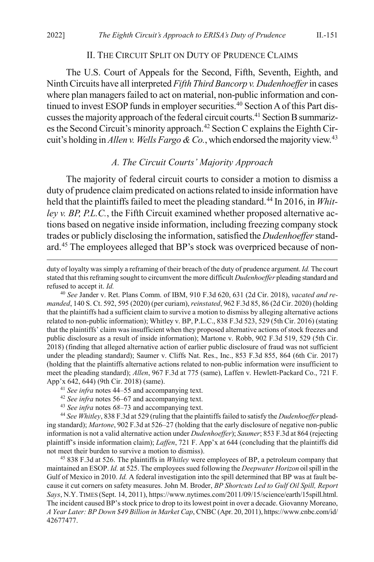#### II. THE CIRCUIT SPLIT ON DUTY OF PRUDENCE CLAIMS

The U.S. Court of Appeals for the Second, Fifth, Seventh, Eighth, and Ninth Circuits have all interpreted *Fifth Third Bancorp v. Dudenhoeffer*in cases where plan managers failed to act on material, non-public information and con-tinued to invest ESOP funds in employer securities.<sup>[40](#page-8-2)</sup> Section A of this Part discusses the majority approach of the federal circuit courts[.41](#page-8-3) Section B summariz-es the Second Circuit's minority approach.<sup>[42](#page-8-4)</sup> Section C explains the Eighth Circuit's holding in *Allen v. Wells Fargo & Co.*, which endorsed the majority view.<sup>43</sup>

#### <span id="page-8-1"></span><span id="page-8-0"></span>*A. The Circuit Courts' Majority Approach*

The majority of federal circuit courts to consider a motion to dismiss a duty of prudence claim predicated on actions related to inside information have held that the plaintiffs failed to meet the pleading standard.<sup>[44](#page-8-6)</sup> In 2016, in *Whitley v. BP, P.L.C.*, the Fifth Circuit examined whether proposed alternative actions based on negative inside information, including freezing company stock trades or publicly disclosing the information, satisfied the *Dudenhoeffer*stand-ard.<sup>[45](#page-8-7)</sup> The employees alleged that BP's stock was overpriced because of non-

<span id="page-8-2"></span><sup>40</sup> *See* Jander v. Ret. Plans Comm. of IBM, 910 F.3d 620, 631 (2d Cir. 2018), *vacated and remanded*, 140 S. Ct. 592, 595 (2020) (per curiam), *reinstated*, 962 F.3d 85, 86 (2d Cir. 2020) (holding that the plaintiffs had a sufficient claim to survive a motion to dismiss by alleging alternative actions related to non-public information); Whitley v. BP, P.L.C., 838 F.3d 523, 529 (5th Cir. 2016) (stating that the plaintiffs' claim was insufficient when they proposed alternative actions of stock freezes and public disclosure as a result of inside information); Martone v. Robb, 902 F.3d 519, 529 (5th Cir. 2018) (finding that alleged alternative action of earlier public disclosure of fraud was not sufficient under the pleading standard); Saumer v. Cliffs Nat. Res., Inc., 853 F.3d 855, 864 (6th Cir. 2017) (holding that the plaintiffs alternative actions related to non-public information were insufficient to meet the pleading standard); *Allen*, 967 F.3d at 775 (same), Laffen v. Hewlett-Packard Co., 721 F. App'x 642, 644) (9th Cir. 2018) (same).

<sup>43</sup> *See infra* notes *[68](#page-12-1)*[–73](#page-12-0) and accompanying text.

<span id="page-8-6"></span><span id="page-8-5"></span><span id="page-8-4"></span><span id="page-8-3"></span><sup>44</sup> *See Whitley*, 838 F.3d at 529 (ruling that the plaintiffs failed to satisfy the *Dudenhoeffer* pleading standard); *Martone*, 902 F.3d at 526–27 (holding that the early disclosure of negative non-public information is not a valid alternative action under *Dudenhoeffer*); *Saumer*; 853 F.3d at 864 (rejecting plaintiff's inside information claim); *Laffen*, 721 F. App'x at 644 (concluding that the plaintiffs did not meet their burden to survive a motion to dismiss).

<span id="page-8-7"></span><sup>45</sup> 838 F.3d at 526. The plaintiffs in *Whitley* were employees of BP, a petroleum company that maintained an ESOP. *Id.* at 525. The employees sued following the *Deepwater Horizon* oil spill in the Gulf of Mexico in 2010. *Id.* A federal investigation into the spill determined that BP was at fault because it cut corners on safety measures. John M. Broder, *BP Shortcuts Led to Gulf Oil Spill, Report Says*, N.Y. TIMES (Sept. 14, 2011), https://www.nytimes.com/2011/09/15/science/earth/15spill.html. The incident caused BP's stock price to drop to its lowest point in over a decade. Giovanny Moreano, *A Year Later: BP Down \$49 Billion in Market Cap*, CNBC (Apr. 20, 2011), https://www.cnbc.com/id/ 42677477.

duty of loyalty was simply a reframing of their breach of the duty of prudence argument. *Id.* The court stated that this reframing sought to circumvent the more difficult *Dudenhoeffer* pleading standard and refused to accept it. *Id.*

<sup>41</sup> *See infra* note[s 44–](#page-8-1)[55](#page-10-0) and accompanying text.

<sup>42</sup> *See infra* note[s 56–](#page-10-1)[67](#page-11-0) and accompanying text.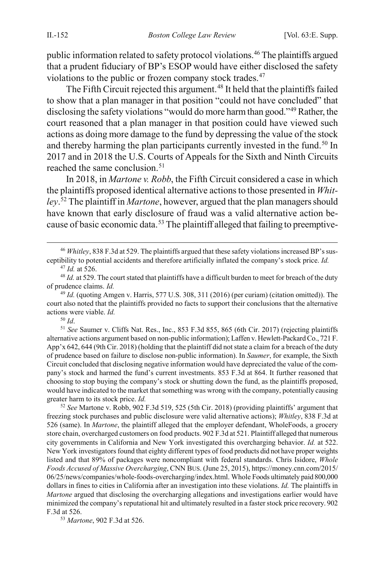public information related to safety protocol violations.<sup>46</sup> The plaintiffs argued that a prudent fiduciary of BP's ESOP would have either disclosed the safety violations to the public or frozen company stock trades.<sup>[47](#page-9-1)</sup>

The Fifth Circuit rejected this argument.<sup>[48](#page-9-2)</sup> It held that the plaintiffs failed to show that a plan manager in that position "could not have concluded" that disclosing the safety violations "would do more harm than good.["49](#page-9-3) Rather, the court reasoned that a plan manager in that position could have viewed such actions as doing more damage to the fund by depressing the value of the stock and thereby harming the plan participants currently invested in the fund.<sup>[50](#page-9-4)</sup> In 2017 and in 2018 the U.S. Courts of Appeals for the Sixth and Ninth Circuits reached the same conclusion.<sup>[51](#page-9-5)</sup>

In 2018, in *Martone v. Robb*, the Fifth Circuit considered a case in which the plaintiffs proposed identical alternative actions to those presented in *Whitley*. [52](#page-9-6) The plaintiff in *Martone*, however, argued that the plan managers should have known that early disclosure of fraud was a valid alternative action be-cause of basic economic data.<sup>[53](#page-10-2)</sup> The plaintiff alleged that failing to preemptive-

<span id="page-9-3"></span><span id="page-9-2"></span><sup>49</sup> *Id.* (quoting Amgen v. Harris, 577 U.S. 308, 311 (2016) (per curiam) (citation omitted)). The court also noted that the plaintiffs provided no facts to support their conclusions that the alternative actions were viable. *Id.*

<span id="page-9-5"></span><span id="page-9-4"></span><sup>51</sup> *See* Saumer v. Cliffs Nat. Res., Inc., 853 F.3d 855, 865 (6th Cir. 2017) (rejecting plaintiffs alternative actions argument based on non-public information); Laffen v. Hewlett-Packard Co., 721 F. App'x 642, 644 (9th Cir. 2018) (holding that the plaintiff did not state a claim for a breach of the duty of prudence based on failure to disclose non-public information). In *Saumer*, for example, the Sixth Circuit concluded that disclosing negative information would have depreciated the value of the company's stock and harmed the fund's current investments. 853 F.3d at 864. It further reasoned that choosing to stop buying the company's stock or shutting down the fund, as the plaintiffs proposed, would have indicated to the market that something was wrong with the company, potentially causing greater harm to its stock price. *Id.*

<span id="page-9-6"></span><sup>52</sup> *See* Martone v. Robb, 902 F.3d 519, 525 (5th Cir. 2018) (providing plaintiffs' argument that freezing stock purchases and public disclosure were valid alternative actions); *Whitley*, 838 F.3d at 526 (same). In *Martone*, the plaintiff alleged that the employer defendant, WholeFoods, a grocery store chain, overcharged customers on food products. 902 F.3d at 521. Plaintiff alleged that numerous city governments in California and New York investigated this overcharging behavior. *Id.* at 522. New York investigators found that eighty different types of food products did not have proper weights listed and that 89% of packages were noncompliant with federal standards. Chris Isidore, *Whole Foods Accused of Massive Overcharging*, CNN BUS. (June 25, 2015), https://money.cnn.com/2015/ 06/25/news/companies/whole-foods-overcharging/index.html. Whole Foods ultimately paid 800,000 dollars in fines to cities in California after an investigation into these violations. *Id.* The plaintiffs in *Martone* argued that disclosing the overcharging allegations and investigations earlier would have minimized the company's reputational hit and ultimately resulted in a faster stock price recovery. 902 F.3d at 526.

<sup>53</sup> *Martone*, 902 F.3d at 526.

<span id="page-9-0"></span> <sup>46</sup> *Whitley*, 838 F.3d at 529. The plaintiffs argued that these safety violations increased BP's susceptibility to potential accidents and therefore artificially inflated the company's stock price. *Id.*

<sup>47</sup> *Id.* at 526.

<span id="page-9-1"></span><sup>&</sup>lt;sup>48</sup> *Id.* at 529. The court stated that plaintiffs have a difficult burden to meet for breach of the duty of prudence claims. *Id.*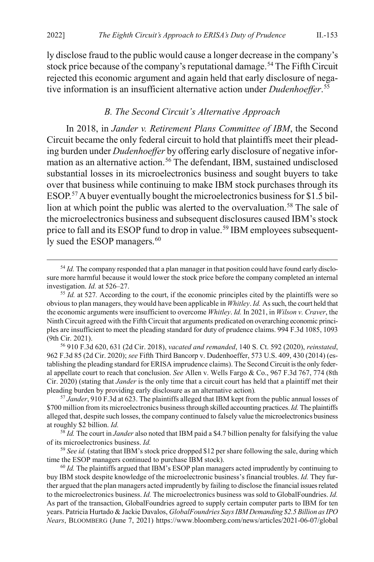ly disclose fraud to the public would cause a longer decrease in the company's stock price because of the company's reputational damage.<sup>[54](#page-10-3)</sup> The Fifth Circuit rejected this economic argument and again held that early disclosure of negative information is an insufficient alternative action under *Dudenhoeffer*. [55](#page-10-4)

#### <span id="page-10-1"></span><span id="page-10-0"></span>*B. The Second Circuit's Alternative Approach*

In 2018, in *Jander v. Retirement Plans Committee of IBM*, the Second Circuit became the only federal circuit to hold that plaintiffs meet their pleading burden under *Dudenhoeffer* by offering early disclosure of negative infor-mation as an alternative action.<sup>[56](#page-10-5)</sup> The defendant, IBM, sustained undisclosed substantial losses in its microelectronics business and sought buyers to take over that business while continuing to make IBM stock purchases through its ESOP.<sup>[57](#page-10-6)</sup> A buyer eventually bought the microelectronics business for \$1.5 billion at which point the public was alerted to the overvaluation.<sup>58</sup> The sale of the microelectronics business and subsequent disclosures caused IBM's stock price to fall and its ESOP fund to drop in value.<sup>[59](#page-10-8)</sup> IBM employees subsequent-ly sued the ESOP managers.<sup>[60](#page-10-9)</sup>

<span id="page-10-2"></span><sup>&</sup>lt;sup>54</sup> *Id.* The company responded that a plan manager in that position could have found early disclosure more harmful because it would lower the stock price before the company completed an internal investigation. *Id.* at 526–27.

<span id="page-10-4"></span><span id="page-10-3"></span><sup>&</sup>lt;sup>55</sup> *Id.* at 527. According to the court, if the economic principles cited by the plaintiffs were so obvious to plan managers, they would have been applicable in *Whitley*. *Id.* As such, the court held that the economic arguments were insufficient to overcome *Whitley*. *Id.* In 2021, in *Wilson v. Craver*, the Ninth Circuit agreed with the Fifth Circuit that arguments predicated on overarching economic principles are insufficient to meet the pleading standard for duty of prudence claims. 994 F.3d 1085, 1093 (9th Cir. 2021).

<span id="page-10-5"></span><sup>56</sup> 910 F.3d 620, 631 (2d Cir. 2018), *vacated and remanded*, 140 S. Ct. 592 (2020), *reinstated*, 962 F.3d 85 (2d Cir. 2020); *see* Fifth Third Bancorp v. Dudenhoeffer, 573 U.S. 409, 430 (2014) (establishing the pleading standard for ERISA imprudence claims). The Second Circuit is the only federal appellate court to reach that conclusion. *See* Allen v. Wells Fargo & Co., 967 F.3d 767, 774 (8th Cir. 2020) (stating that *Jander* is the only time that a circuit court has held that a plaintiff met their pleading burden by providing early disclosure as an alternative action)*.*

<sup>57</sup> *Jander*, 910 F.3d at 623. The plaintiffs alleged that IBM kept from the public annual losses of \$700 million from its microelectronics business through skilled accounting practices. *Id.* The plaintiffs alleged that, despite such losses, the company continued to falsely value the microelectronics business at roughly \$2 billion. *Id.*

<span id="page-10-6"></span><sup>58</sup> *Id.* The court in *Jander* also noted that IBM paid a \$4.7 billion penalty for falsifying the value of its microelectronics business. *Id.*

<span id="page-10-7"></span><sup>59</sup> *See id.* (stating that IBM's stock price dropped \$12 per share following the sale, during which time the ESOP managers continued to purchase IBM stock).

<span id="page-10-9"></span><span id="page-10-8"></span><sup>60</sup> *Id.* The plaintiffs argued that IBM's ESOP plan managers acted imprudently by continuing to buy IBM stock despite knowledge of the microelectronic business's financial troubles. *Id.* They further argued that the plan managers acted imprudently by failing to disclose the financial issues related to the microelectronics business. *Id.* The microelectronics business was sold to GlobalFoundries. *Id.* As part of the transaction, GlobalFoundries agreed to supply certain computer parts to IBM for ten years. Patricia Hurtado & Jackie Davalos, *GlobalFoundries Says IBM Demanding \$2.5 Billion as IPO Nears*, BLOOMBERG (June 7, 2021) https://www.bloomberg.com/news/articles/2021-06-07/global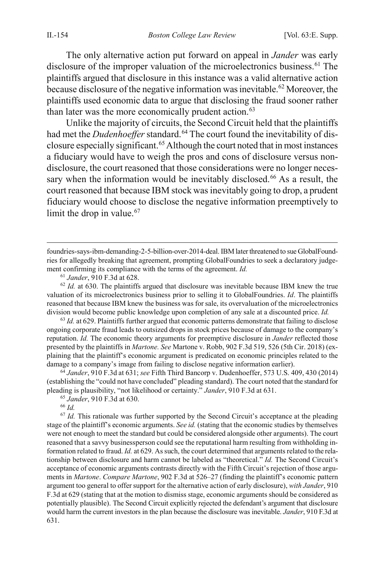The only alternative action put forward on appeal in *Jander* was early disclosure of the improper valuation of the microelectronics business.<sup>[61](#page-11-1)</sup> The plaintiffs argued that disclosure in this instance was a valid alternative action because disclosure of the negative information was inevitable.<sup>[62](#page-11-2)</sup> Moreover, the plaintiffs used economic data to argue that disclosing the fraud sooner rather than later was the more economically prudent action. $63$ 

Unlike the majority of circuits, the Second Circuit held that the plaintiffs had met the *Dudenhoeffer* standard.<sup>[64](#page-11-4)</sup> The court found the inevitability of disclosure especially significant[.65](#page-11-5)Although the court noted that in most instances a fiduciary would have to weigh the pros and cons of disclosure versus nondisclosure, the court reasoned that those considerations were no longer neces-sary when the information would be inevitably disclosed.<sup>[66](#page-11-6)</sup> As a result, the court reasoned that because IBM stock was inevitably going to drop, a prudent fiduciary would choose to disclose the negative information preemptively to limit the drop in value.<sup>[67](#page-11-7)</sup>

<span id="page-11-3"></span><sup>63</sup> *Id.* at 629. Plaintiffs further argued that economic patterns demonstrate that failing to disclose ongoing corporate fraud leads to outsized drops in stock prices because of damage to the company's reputation. *Id.* The economic theory arguments for preemptive disclosure in *Jander* reflected those presented by the plaintiffs in *Martone. See* Martone v. Robb, 902 F.3d 519, 526 (5th Cir. 2018) (explaining that the plaintiff's economic argument is predicated on economic principles related to the damage to a company's image from failing to disclose negative information earlier).

<span id="page-11-4"></span><sup>64</sup> *Jander*, 910 F.3d at 631; *see* Fifth Third Bancorp v. Dudenhoeffer, 573 U.S. 409, 430 (2014) (establishing the "could not have concluded" pleading standard). The court noted that the standard for pleading is plausibility, "not likelihood or certainty." *Jander*, 910 F.3d at 631.

<sup>65</sup> *Jander*, 910 F.3d at 630.

<sup>66</sup> *Id.*

<span id="page-11-7"></span><span id="page-11-6"></span><span id="page-11-5"></span> $67$  *Id.* This rationale was further supported by the Second Circuit's acceptance at the pleading stage of the plaintiff's economic arguments. *See id.* (stating that the economic studies by themselves were not enough to meet the standard but could be considered alongside other arguments). The court reasoned that a savvy businessperson could see the reputational harm resulting from withholding information related to fraud. *Id.* at 629. As such, the court determined that arguments related to the relationship between disclosure and harm cannot be labeled as "theoretical." *Id.* The Second Circuit's acceptance of economic arguments contrasts directly with the Fifth Circuit's rejection of those arguments in *Martone*. *Compare Martone*, 902 F.3d at 526–27 (finding the plaintiff's economic pattern argument too general to offer support for the alternative action of early disclosure), *with Jander*, 910 F.3d at 629 (stating that at the motion to dismiss stage, economic arguments should be considered as potentially plausible). The Second Circuit explicitly rejected the defendant's argument that disclosure would harm the current investors in the plan because the disclosure was inevitable. *Jander*, 910 F.3d at 631.

<span id="page-11-0"></span>foundries-says-ibm-demanding-2-5-billion-over-2014-deal. IBM later threatened to sue GlobalFoundries for allegedly breaking that agreement, prompting GlobalFoundries to seek a declaratory judgement confirming its compliance with the terms of the agreement. *Id.*

<sup>61</sup> *Jander*, 910 F.3d at 628.

<span id="page-11-2"></span><span id="page-11-1"></span><sup>&</sup>lt;sup>62</sup> *Id.* at 630. The plaintiffs argued that disclosure was inevitable because IBM knew the true valuation of its microelectronics business prior to selling it to GlobalFoundries. *Id*. The plaintiffs reasoned that because IBM knew the business was for sale, its overvaluation of the microelectronics division would become public knowledge upon completion of any sale at a discounted price. *Id.*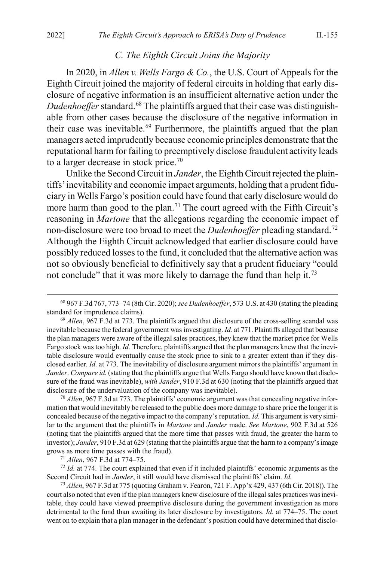#### <span id="page-12-1"></span>*C. The Eighth Circuit Joins the Majority*

In 2020, in *Allen v. Wells Fargo & Co.*, the U.S. Court of Appeals for the Eighth Circuit joined the majority of federal circuits in holding that early disclosure of negative information is an insufficient alternative action under the *Dudenhoeffer* standard.<sup>[68](#page-12-2)</sup> The plaintiffs argued that their case was distinguishable from other cases because the disclosure of the negative information in their case was inevitable.<sup>[69](#page-12-3)</sup> Furthermore, the plaintiffs argued that the plan managers acted imprudently because economic principles demonstrate that the reputational harm for failing to preemptively disclose fraudulent activity leads to a larger decrease in stock price.<sup>[70](#page-12-4)</sup>

Unlike the Second Circuit in *Jander*, the Eighth Circuit rejected the plaintiffs' inevitability and economic impact arguments, holding that a prudent fiduciary in Wells Fargo's position could have found that early disclosure would do more harm than good to the plan.<sup>[71](#page-12-5)</sup> The court agreed with the Fifth Circuit's reasoning in *Martone* that the allegations regarding the economic impact of non-disclosure were too broad to meet the *Dudenhoeffer* pleading standard.[72](#page-12-6) Although the Eighth Circuit acknowledged that earlier disclosure could have possibly reduced losses to the fund, it concluded that the alternative action was not so obviously beneficial to definitively say that a prudent fiduciary "could not conclude" that it was more likely to damage the fund than help it.<sup>73</sup>

<span id="page-12-4"></span><sup>70</sup> *Allen*, 967 F.3d at 773. The plaintiffs' economic argument was that concealing negative information that would inevitably be released to the public does more damage to share price the longer it is concealed because of the negative impact to the company's reputation. *Id.* This argument is very similar to the argument that the plaintiffs in *Martone* and *Jander* made. *See Martone*, 902 F.3d at 526 (noting that the plaintiffs argued that the more time that passes with fraud, the greater the harm to investor); *Jander*, 910 F.3d at 629 (stating that the plaintiffs argue that the harm to a company's image grows as more time passes with the fraud).

<sup>71</sup> *Allen*, 967 F.3d at 774–75.

<span id="page-12-5"></span><sup>72</sup> *Id.* at 774. The court explained that even if it included plaintiffs' economic arguments as the Second Circuit had in *Jander*, it still would have dismissed the plaintiffs' claim. *Id.*

<span id="page-12-7"></span><span id="page-12-6"></span><sup>73</sup> *Allen*, 967 F.3d at 775 (quoting Graham v. Fearon, 721 F. App'x 429, 437 (6th Cir. 2018)). The court also noted that even if the plan managers knew disclosure of the illegal sales practices was inevitable, they could have viewed preemptive disclosure during the government investigation as more detrimental to the fund than awaiting its later disclosure by investigators. *Id.* at 774–75. The court went on to explain that a plan manager in the defendant's position could have determined that disclo-

<span id="page-12-0"></span> <sup>68</sup> 967 F.3d 767, 773–74 (8th Cir. 2020);*see Dudenhoeffer*, 573 U.S. at 430 (stating the pleading standard for imprudence claims).

<span id="page-12-3"></span><span id="page-12-2"></span><sup>69</sup> *Allen*, 967 F.3d at 773. The plaintiffs argued that disclosure of the cross-selling scandal was inevitable because the federal government was investigating. *Id.* at 771. Plaintiffs alleged that because the plan managers were aware of the illegal sales practices, they knew that the market price for Wells Fargo stock was too high. *Id.* Therefore, plaintiffs argued that the plan managers knew that the inevitable disclosure would eventually cause the stock price to sink to a greater extent than if they disclosed earlier. *Id.* at 773. The inevitability of disclosure argument mirrors the plaintiffs' argument in *Jander*. *Compare id.* (stating that the plaintiffs argue that Wells Fargo should have known that disclosure of the fraud was inevitable), *with Jander*, 910 F.3d at 630 (noting that the plaintiffs argued that disclosure of the undervaluation of the company was inevitable).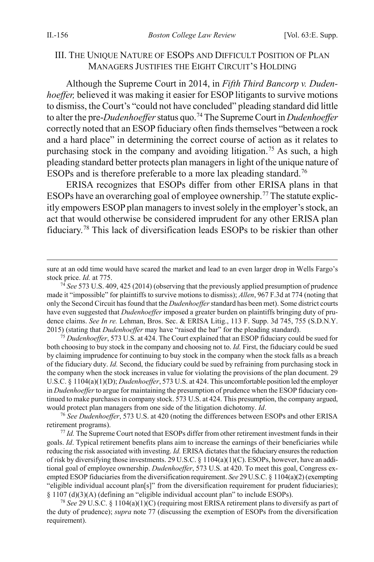#### III. THE UNIQUE NATURE OF ESOPS AND DIFFICULT POSITION OF PLAN MANAGERS JUSTIFIES THE EIGHT CIRCUIT'S HOLDING

<span id="page-13-0"></span>Although the Supreme Court in 2014, in *Fifth Third Bancorp v. Dudenhoeffer,* believed it was making it easier for ESOP litigants to survive motions to dismiss, the Court's "could not have concluded" pleading standard did little to alter the pre-*Dudenhoeffer* status quo.[74](#page-13-2) The Supreme Court in *Dudenhoeffer* correctly noted that an ESOP fiduciary often finds themselves "between a rock and a hard place" in determining the correct course of action as it relates to purchasing stock in the company and avoiding litigation.<sup>[75](#page-13-3)</sup> As such, a high pleading standard better protects plan managers in light of the unique nature of ESOPs and is therefore preferable to a more lax pleading standard.<sup>[76](#page-13-4)</sup>

<span id="page-13-1"></span>ERISA recognizes that ESOPs differ from other ERISA plans in that ESOPs have an overarching goal of employee ownership.<sup>[77](#page-13-5)</sup> The statute explicitly empowers ESOP plan managers to invest solely in the employer's stock, an act that would otherwise be considered imprudent for any other ERISA plan fiduciary.[78](#page-13-6) This lack of diversification leads ESOPs to be riskier than other

<span id="page-13-3"></span><sup>75</sup> *Dudenhoeffer*, 573 U.S. at 424. The Court explained that an ESOP fiduciary could be sued for both choosing to buy stock in the company and choosing not to. *Id.* First, the fiduciary could be sued by claiming imprudence for continuing to buy stock in the company when the stock falls as a breach of the fiduciary duty. *Id.* Second, the fiduciary could be sued by refraining from purchasing stock in the company when the stock increases in value for violating the provisions of the plan document. 29 U.S.C. § 1104(a)(1)(D); *Dudenhoeffer*, 573 U.S. at 424. This uncomfortable position led the employer in *Dudenhoeffer*to argue for maintaining the presumption of prudence when the ESOP fiduciary continued to make purchases in company stock. 573 U.S. at 424. This presumption, the company argued, would protect plan managers from one side of the litigation dichotomy. *Id*.

<span id="page-13-4"></span><sup>76</sup> *See Dudenhoeffer*, 573 U.S. at 420 (noting the differences between ESOPs and other ERISA retirement programs).

<span id="page-13-5"></span><sup>77</sup> *Id.* The Supreme Court noted that ESOPs differ from other retirement investment funds in their goals. *Id*. Typical retirement benefits plans aim to increase the earnings of their beneficiaries while reducing the risk associated with investing. *Id.* ERISA dictates that the fiduciary ensures the reduction of risk by diversifying those investments. 29 U.S.C. § 1104(a)(1)(C). ESOPs, however, have an additional goal of employee ownership. *Dudenhoeffer*, 573 U.S. at 420. To meet this goal, Congress exempted ESOP fiduciaries from the diversification requirement. *See* 29 U.S.C. § 1104(a)(2) (exempting "eligible individual account plan[s]" from the diversification requirement for prudent fiduciaries); § 1107 (d)(3)(A) (defining an "eligible individual account plan" to include ESOPs).

<span id="page-13-6"></span><sup>78</sup> *See* 29 U.S.C. § 1104(a)(1)(C) (requiring most ERISA retirement plans to diversify as part of the duty of prudence); *supra* note [77](#page-13-1) (discussing the exemption of ESOPs from the diversification requirement).

sure at an odd time would have scared the market and lead to an even larger drop in Wells Fargo's stock price. *Id.* at 775.

<span id="page-13-2"></span><sup>74</sup> *See* 573 U.S. 409, 425 (2014) (observing that the previously applied presumption of prudence made it "impossible" for plaintiffs to survive motions to dismiss); *Allen*, 967 F.3d at 774 (noting that only the Second Circuit has found that the *Dudenhoeffer*standard has been met). Some district courts have even suggested that *Dudenhoeffer* imposed a greater burden on plaintiffs bringing duty of prudence claims. *See In re.* Lehman, Bros. Sec. & ERISA Litig., 113 F. Supp. 3d 745, 755 (S.D.N.Y. 2015) (stating that *Dudenhoeffer* may have "raised the bar" for the pleading standard).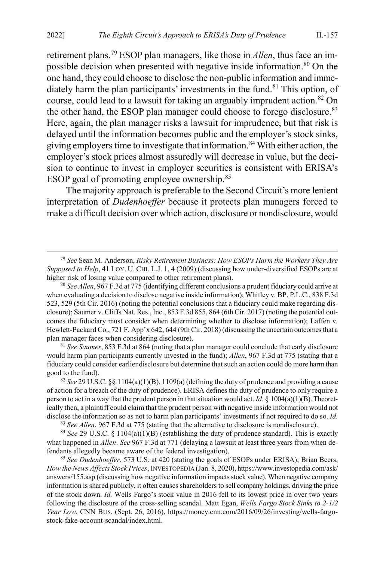retirement plans.[79](#page-14-0) ESOP plan managers, like those in *Allen*, thus face an im-possible decision when presented with negative inside information.<sup>[80](#page-14-1)</sup> On the one hand, they could choose to disclose the non-public information and imme-diately harm the plan participants' investments in the fund.<sup>[81](#page-14-2)</sup> This option, of course, could lead to a lawsuit for taking an arguably imprudent action.<sup>[82](#page-14-3)</sup> On the other hand, the ESOP plan manager could choose to forego disclosure.<sup>[83](#page-14-4)</sup> Here, again, the plan manager risks a lawsuit for imprudence, but that risk is delayed until the information becomes public and the employer's stock sinks, giving employers time to investigate that information.<sup>[84](#page-14-5)</sup> With either action, the employer's stock prices almost assuredly will decrease in value, but the decision to continue to invest in employer securities is consistent with ERISA's ESOP goal of promoting employee ownership.<sup>[85](#page-14-6)</sup>

The majority approach is preferable to the Second Circuit's more lenient interpretation of *Dudenhoeffer* because it protects plan managers forced to make a difficult decision over which action, disclosure or nondisclosure, would

<span id="page-14-0"></span> 79 *See* Sean M. Anderson, *Risky Retirement Business: How ESOPs Harm the Workers They Are Supposed to Help*, 41 LOY. U. CHI. L.J. 1, 4 (2009) (discussing how under-diversified ESOPs are at higher risk of losing value compared to other retirement plans).

<span id="page-14-1"></span><sup>80</sup> *See Allen*, 967 F.3d at 775 (identifying different conclusions a prudent fiduciary could arrive at when evaluating a decision to disclose negative inside information); Whitley v. BP, P.L.C., 838 F.3d 523, 529 (5th Cir. 2016) (noting the potential conclusions that a fiduciary could make regarding disclosure); Saumer v. Cliffs Nat. Res., Inc., 853 F.3d 855, 864 (6th Cir. 2017) (noting the potential outcomes the fiduciary must consider when determining whether to disclose information); Laffen v. Hewlett-Packard Co., 721 F. App'x 642, 644 (9th Cir. 2018) (discussing the uncertain outcomes that a plan manager faces when considering disclosure).

<span id="page-14-2"></span><sup>81</sup> *See Saumer*, 853 F.3d at 864 (noting that a plan manager could conclude that early disclosure would harm plan participants currently invested in the fund); *Allen*, 967 F.3d at 775 (stating that a fiduciary could consider earlier disclosure but determine that such an action could do more harm than good to the fund).

<span id="page-14-3"></span><sup>82</sup> *See* 29 U.S.C. §§ 1104(a)(1)(B), 1109(a) (defining the duty of prudence and providing a cause of action for a breach of the duty of prudence). ERISA defines the duty of prudence to only require a person to act in a way that the prudent person in that situation would act. *Id.* § 1004(a)(1)(B). Theoretically then, a plaintiff could claim that the prudent person with negative inside information would not disclose the information so as not to harm plan participants' investments if not required to do so. *Id.*

<sup>83</sup> *See Allen*, 967 F.3d at 775 (stating that the alternative to disclosure is nondisclosure).

<span id="page-14-5"></span><span id="page-14-4"></span><sup>84</sup> *See* 29 U.S.C. § 1104(a)(1)(B) (establishing the duty of prudence standard). This is exactly what happened in *Allen*. *See* 967 F.3d at 771 (delaying a lawsuit at least three years from when defendants allegedly became aware of the federal investigation).

<span id="page-14-6"></span><sup>85</sup> *See Dudenhoeffer*, 573 U.S. at 420 (stating the goals of ESOPs under ERISA); Brian Beers, *How the News Affects Stock Prices*, INVESTOPEDIA (Jan. 8, 2020), https://www.investopedia.com/ask/ answers/155.asp (discussing how negative information impacts stock value). When negative company information is shared publicly, it often causes shareholders to sell company holdings, driving the price of the stock down. *Id.* Wells Fargo's stock value in 2016 fell to its lowest price in over two years following the disclosure of the cross-selling scandal. Matt Egan, *Wells Fargo Stock Sinks to 2-1/2 Year Low*, CNN BUS. (Sept. 26, 2016), https://money.cnn.com/2016/09/26/investing/wells-fargostock-fake-account-scandal/index.html.